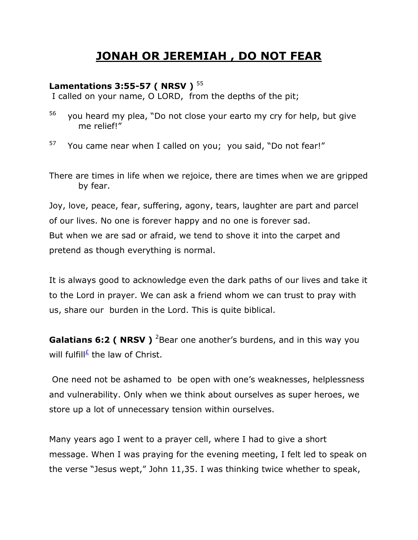## **JONAH OR JEREMIAH , DO NOT FEAR**

## **Lamentations 3:55-57 ( NRSV )** <sup>55</sup>

I called on your name, O LORD, from the depths of the pit;

- 56 you heard my plea, "Do not close your earto my cry for help, but give me relief!"
- 57 You came near when I called on you; you said, "Do not fear!"

There are times in life when we rejoice, there are times when we are gripped by fear.

Joy, love, peace, fear, suffering, agony, tears, laughter are part and parcel of our lives. No one is forever happy and no one is forever sad. But when we are sad or afraid, we tend to shove it into the carpet and pretend as though everything is normal.

It is always good to acknowledge even the dark paths of our lives and take it to the Lord in prayer. We can ask a friend whom we can trust to pray with us, share our burden in the Lord. This is quite biblical.

**Galatians 6:2 ( NRSV )** <sup>2</sup>Bear one another's burdens, and in this way you will fulfill<sup>[£](qv://steplinkto1%200000039234/)</sup> the law of Christ.

One need not be ashamed to be open with one's weaknesses, helplessness and vulnerability. Only when we think about ourselves as super heroes, we store up a lot of unnecessary tension within ourselves.

Many years ago I went to a prayer cell, where I had to give a short message. When I was praying for the evening meeting, I felt led to speak on the verse "Jesus wept," John 11,35. I was thinking twice whether to speak,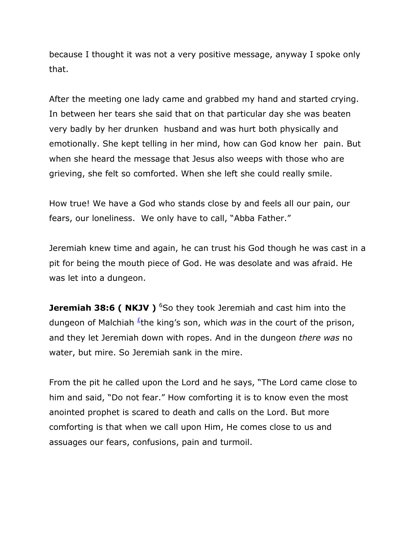because I thought it was not a very positive message, anyway I spoke only that.

After the meeting one lady came and grabbed my hand and started crying. In between her tears she said that on that particular day she was beaten very badly by her drunken husband and was hurt both physically and emotionally. She kept telling in her mind, how can God know her pain. But when she heard the message that Jesus also weeps with those who are grieving, she felt so comforted. When she left she could really smile.

How true! We have a God who stands close by and feels all our pain, our fears, our loneliness. We only have to call, "Abba Father."

Jeremiah knew time and again, he can trust his God though he was cast in a pit for being the mouth piece of God. He was desolate and was afraid. He was let into a dungeon.

**Jeremiah 38:6 ( NKJV )** <sup>6</sup>So they took Jeremiah and cast him into the dungeon of Malchiah <sup>*E*</sup>the king's son, which *was* in the court of the prison, and they let Jeremiah down with ropes. And in the dungeon *there was* no water, but mire. So Jeremiah sank in the mire.

From the pit he called upon the Lord and he says, "The Lord came close to him and said, "Do not fear." How comforting it is to know even the most anointed prophet is scared to death and calls on the Lord. But more comforting is that when we call upon Him, He comes close to us and assuages our fears, confusions, pain and turmoil.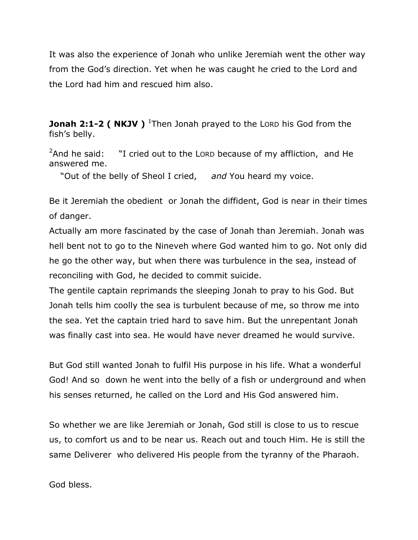It was also the experience of Jonah who unlike Jeremiah went the other way from the God's direction. Yet when he was caught he cried to the Lord and the Lord had him and rescued him also.

**Jonah 2:1-2 ( NKJV )** <sup>1</sup>Then Jonah prayed to the LORD his God from the fish's belly.

 $2$ And he said: "I cried out to the LORD because of my affliction, and He answered me.

"Out of the belly of Sheol I cried, *and* You heard my voice.

Be it Jeremiah the obedient or Jonah the diffident, God is near in their times of danger.

Actually am more fascinated by the case of Jonah than Jeremiah. Jonah was hell bent not to go to the Nineveh where God wanted him to go. Not only did he go the other way, but when there was turbulence in the sea, instead of reconciling with God, he decided to commit suicide.

The gentile captain reprimands the sleeping Jonah to pray to his God. But Jonah tells him coolly the sea is turbulent because of me, so throw me into the sea. Yet the captain tried hard to save him. But the unrepentant Jonah was finally cast into sea. He would have never dreamed he would survive.

But God still wanted Jonah to fulfil His purpose in his life. What a wonderful God! And so down he went into the belly of a fish or underground and when his senses returned, he called on the Lord and His God answered him.

So whether we are like Jeremiah or Jonah, God still is close to us to rescue us, to comfort us and to be near us. Reach out and touch Him. He is still the same Deliverer who delivered His people from the tyranny of the Pharaoh.

God bless.